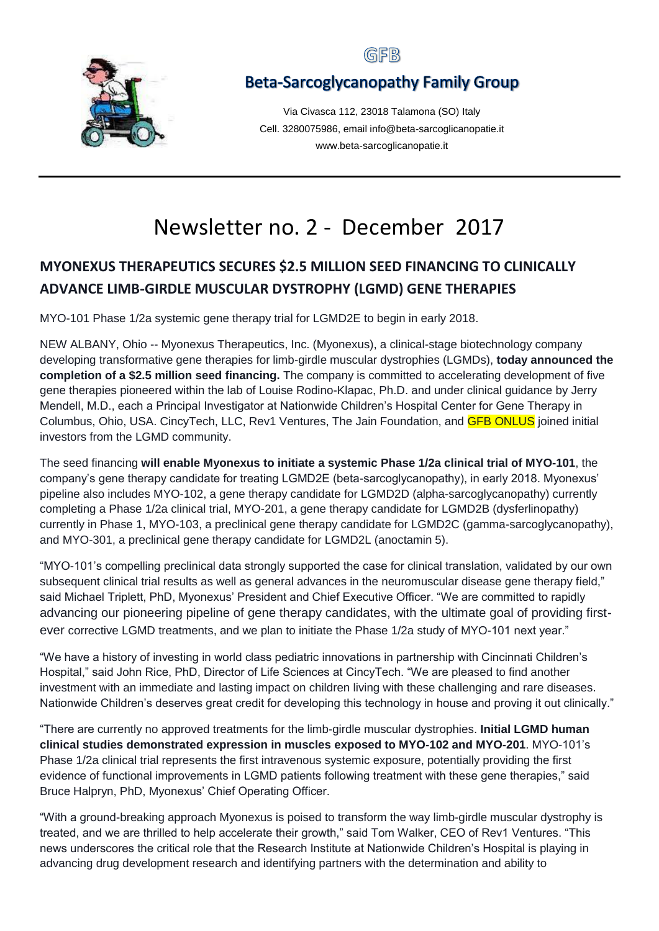

## GFB

# **Beta-Sarcoglycanopathy Family Group**

Via Civasca 112, 23018 Talamona (SO) Italy Cell. 3280075986, email info@beta-sarcoglicanopatie.it www.beta-sarcoglicanopatie.it

# Newsletter no. 2 - December 2017

# **MYONEXUS THERAPEUTICS SECURES \$2.5 MILLION SEED FINANCING TO CLINICALLY ADVANCE LIMB-GIRDLE MUSCULAR DYSTROPHY (LGMD) GENE THERAPIES**

MYO-101 Phase 1/2a systemic gene therapy trial for LGMD2E to begin in early 2018.

NEW ALBANY, Ohio -- Myonexus Therapeutics, Inc. (Myonexus), a clinical-stage biotechnology company developing transformative gene therapies for limb-girdle muscular dystrophies (LGMDs), **today announced the completion of a \$2.5 million seed financing.** The company is committed to accelerating development of five gene therapies pioneered within the lab of Louise Rodino-Klapac, Ph.D. and under clinical guidance by Jerry Mendell, M.D., each a Principal Investigator at Nationwide Children's Hospital Center for Gene Therapy in Columbus, Ohio, USA. CincyTech, LLC, Rev1 Ventures, The Jain Foundation, and GFB ONLUS joined initial investors from the LGMD community.

The seed financing **will enable Myonexus to initiate a systemic Phase 1/2a clinical trial of MYO-101**, the company's gene therapy candidate for treating LGMD2E (beta-sarcoglycanopathy), in early 2018. Myonexus' pipeline also includes MYO-102, a gene therapy candidate for LGMD2D (alpha-sarcoglycanopathy) currently completing a Phase 1/2a clinical trial, MYO-201, a gene therapy candidate for LGMD2B (dysferlinopathy) currently in Phase 1, MYO-103, a preclinical gene therapy candidate for LGMD2C (gamma-sarcoglycanopathy), and MYO-301, a preclinical gene therapy candidate for LGMD2L (anoctamin 5).

"MYO-101's compelling preclinical data strongly supported the case for clinical translation, validated by our own subsequent clinical trial results as well as general advances in the neuromuscular disease gene therapy field," said Michael Triplett, PhD, Myonexus' President and Chief Executive Officer. "We are committed to rapidly advancing our pioneering pipeline of gene therapy candidates, with the ultimate goal of providing firstever corrective LGMD treatments, and we plan to initiate the Phase 1/2a study of MYO-101 next year."

"We have a history of investing in world class pediatric innovations in partnership with Cincinnati Children's Hospital," said John Rice, PhD, Director of Life Sciences at CincyTech. "We are pleased to find another investment with an immediate and lasting impact on children living with these challenging and rare diseases. Nationwide Children's deserves great credit for developing this technology in house and proving it out clinically."

"There are currently no approved treatments for the limb-girdle muscular dystrophies. **Initial LGMD human clinical studies demonstrated expression in muscles exposed to MYO-102 and MYO-201**. MYO-101's Phase 1/2a clinical trial represents the first intravenous systemic exposure, potentially providing the first evidence of functional improvements in LGMD patients following treatment with these gene therapies," said Bruce Halpryn, PhD, Myonexus' Chief Operating Officer.

"With a ground-breaking approach Myonexus is poised to transform the way limb-girdle muscular dystrophy is treated, and we are thrilled to help accelerate their growth," said Tom Walker, CEO of Rev1 Ventures. "This news underscores the critical role that the Research Institute at Nationwide Children's Hospital is playing in advancing drug development research and identifying partners with the determination and ability to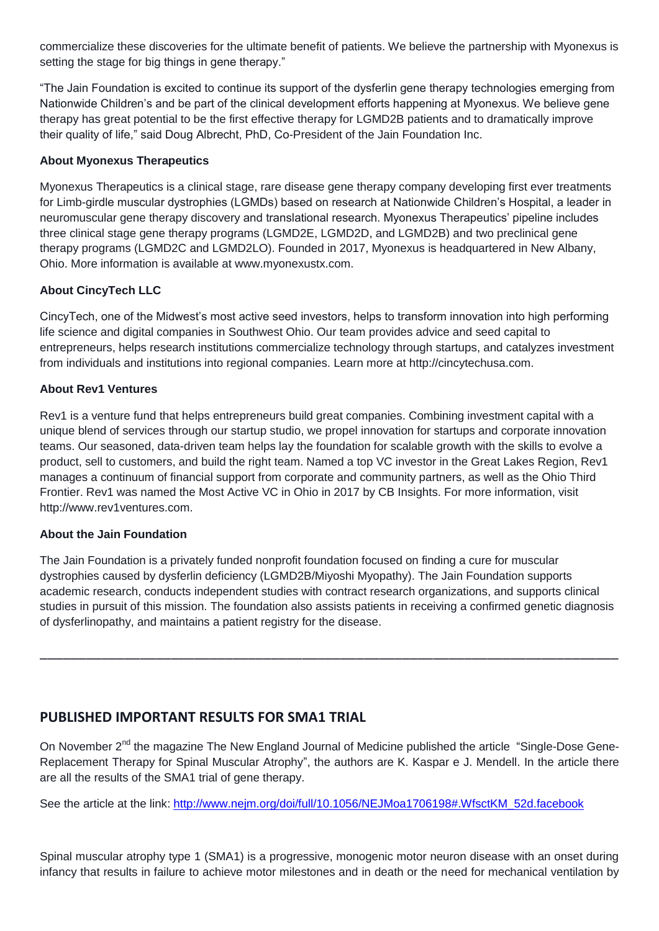commercialize these discoveries for the ultimate benefit of patients. We believe the partnership with Myonexus is setting the stage for big things in gene therapy."

"The Jain Foundation is excited to continue its support of the dysferlin gene therapy technologies emerging from Nationwide Children's and be part of the clinical development efforts happening at Myonexus. We believe gene therapy has great potential to be the first effective therapy for LGMD2B patients and to dramatically improve their quality of life," said Doug Albrecht, PhD, Co-President of the Jain Foundation Inc.

#### **About Myonexus Therapeutics**

Myonexus Therapeutics is a clinical stage, rare disease gene therapy company developing first ever treatments for Limb-girdle muscular dystrophies (LGMDs) based on research at Nationwide Children's Hospital, a leader in neuromuscular gene therapy discovery and translational research. Myonexus Therapeutics' pipeline includes three clinical stage gene therapy programs (LGMD2E, LGMD2D, and LGMD2B) and two preclinical gene therapy programs (LGMD2C and LGMD2LO). Founded in 2017, Myonexus is headquartered in New Albany, Ohio. More information is available at www.myonexustx.com.

#### **About CincyTech LLC**

CincyTech, one of the Midwest's most active seed investors, helps to transform innovation into high performing life science and digital companies in Southwest Ohio. Our team provides advice and seed capital to entrepreneurs, helps research institutions commercialize technology through startups, and catalyzes investment from individuals and institutions into regional companies. Learn more at http://cincytechusa.com.

#### **About Rev1 Ventures**

Rev1 is a venture fund that helps entrepreneurs build great companies. Combining investment capital with a unique blend of services through our startup studio, we propel innovation for startups and corporate innovation teams. Our seasoned, data-driven team helps lay the foundation for scalable growth with the skills to evolve a product, sell to customers, and build the right team. Named a top VC investor in the Great Lakes Region, Rev1 manages a continuum of financial support from corporate and community partners, as well as the Ohio Third Frontier. Rev1 was named the Most Active VC in Ohio in 2017 by CB Insights. For more information, visit http://www.rev1ventures.com.

#### **About the Jain Foundation**

The Jain Foundation is a privately funded nonprofit foundation focused on finding a cure for muscular dystrophies caused by dysferlin deficiency (LGMD2B/Miyoshi Myopathy). The Jain Foundation supports academic research, conducts independent studies with contract research organizations, and supports clinical studies in pursuit of this mission. The foundation also assists patients in receiving a confirmed genetic diagnosis of dysferlinopathy, and maintains a patient registry for the disease.

\_\_\_\_\_\_\_\_\_\_\_\_\_\_\_\_\_\_\_\_\_\_\_\_\_\_\_\_\_\_\_\_\_\_\_\_\_\_\_\_\_\_\_\_\_\_\_\_\_\_\_\_\_\_\_\_\_\_\_\_\_\_\_\_\_\_\_\_\_\_\_\_\_\_\_

## **PUBLISHED IMPORTANT RESULTS FOR SMA1 TRIAL**

On November 2<sup>nd</sup> the magazine The New England Journal of Medicine published the article "Single-Dose Gene-Replacement Therapy for Spinal Muscular Atrophy", the authors are K. Kaspar e J. Mendell. In the article there are all the results of the SMA1 trial of gene therapy.

See the article at the link: [http://www.nejm.org/doi/full/10.1056/NEJMoa1706198#.WfsctKM\\_52d.facebook](http://www.nejm.org/doi/full/10.1056/NEJMoa1706198#.WfsctKM_52d.facebook)

Spinal muscular atrophy type 1 (SMA1) is a progressive, monogenic motor neuron disease with an onset during infancy that results in failure to achieve motor milestones and in death or the need for mechanical ventilation by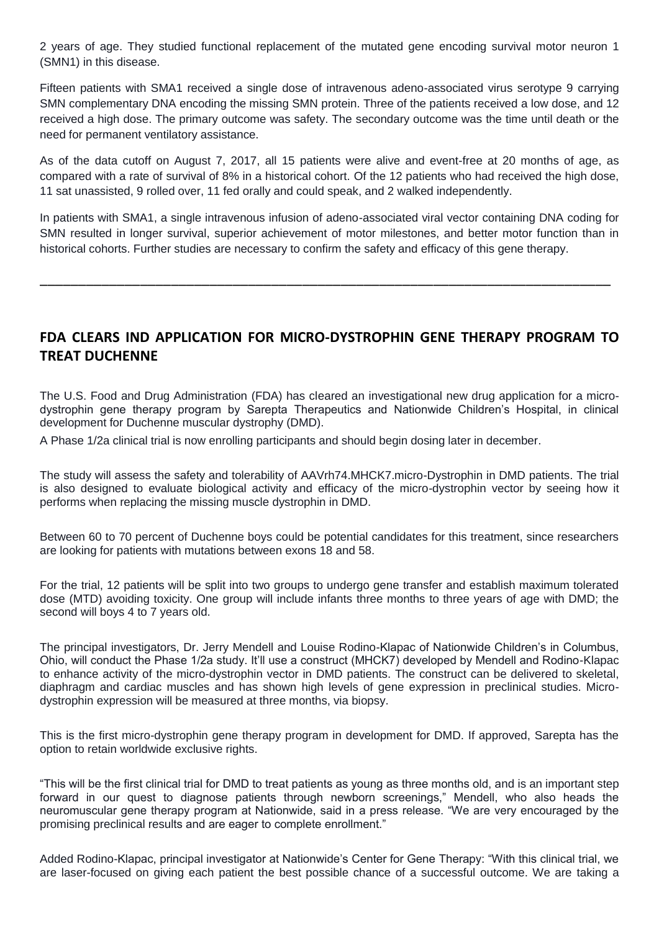2 years of age. They studied functional replacement of the mutated gene encoding survival motor neuron 1 (SMN1) in this disease.

Fifteen patients with SMA1 received a single dose of intravenous adeno-associated virus serotype 9 carrying SMN complementary DNA encoding the missing SMN protein. Three of the patients received a low dose, and 12 received a high dose. The primary outcome was safety. The secondary outcome was the time until death or the need for permanent ventilatory assistance.

As of the data cutoff on August 7, 2017, all 15 patients were alive and event-free at 20 months of age, as compared with a rate of survival of 8% in a historical cohort. Of the 12 patients who had received the high dose, 11 sat unassisted, 9 rolled over, 11 fed orally and could speak, and 2 walked independently.

In patients with SMA1, a single intravenous infusion of adeno-associated viral vector containing DNA coding for SMN resulted in longer survival, superior achievement of motor milestones, and better motor function than in historical cohorts. Further studies are necessary to confirm the safety and efficacy of this gene therapy.

\_\_\_\_\_\_\_\_\_\_\_\_\_\_\_\_\_\_\_\_\_\_\_\_\_\_\_\_\_\_\_\_\_\_\_\_\_\_\_\_\_\_\_\_\_\_\_\_\_\_\_\_\_\_\_\_\_\_\_\_\_\_\_\_\_\_\_\_\_\_\_\_\_\_

## **FDA CLEARS IND APPLICATION FOR MICRO-DYSTROPHIN GENE THERAPY PROGRAM TO TREAT DUCHENNE**

The U.S. Food and Drug Administration (FDA) has cleared an investigational new drug application for a microdystrophin gene therapy program by Sarepta Therapeutics and Nationwide Children's Hospital, in clinical development for Duchenne muscular dystrophy (DMD).

A Phase 1/2a clinical trial is now enrolling participants and should begin dosing later in december.

The study will assess the safety and tolerability of AAVrh74.MHCK7.micro-Dystrophin in DMD patients. The trial is also designed to evaluate biological activity and efficacy of the micro-dystrophin vector by seeing how it performs when replacing the missing muscle dystrophin in DMD.

Between 60 to 70 percent of Duchenne boys could be potential candidates for this treatment, since researchers are looking for patients with mutations between exons 18 and 58.

For the trial, 12 patients will be split into two groups to undergo gene transfer and establish maximum tolerated dose (MTD) avoiding toxicity. One group will include infants three months to three years of age with DMD; the second will boys 4 to 7 years old.

The principal investigators, Dr. Jerry Mendell and Louise Rodino-Klapac of Nationwide Children's in Columbus, Ohio, will conduct the Phase 1/2a study. It'll use a construct (MHCK7) developed by Mendell and Rodino-Klapac to enhance activity of the micro-dystrophin vector in DMD patients. The construct can be delivered to skeletal, diaphragm and cardiac muscles and has shown high levels of gene expression in preclinical studies. Microdystrophin expression will be measured at three months, via biopsy.

This is the first micro-dystrophin gene therapy program in development for DMD. If approved, Sarepta has the option to retain worldwide exclusive rights.

"This will be the first clinical trial for DMD to treat patients as young as three months old, and is an important step forward in our quest to diagnose patients through newborn screenings," Mendell, who also heads the neuromuscular gene therapy program at Nationwide, said in a press release. "We are very encouraged by the promising preclinical results and are eager to complete enrollment."

Added Rodino-Klapac, principal investigator at Nationwide's Center for Gene Therapy: "With this clinical trial, we are laser-focused on giving each patient the best possible chance of a successful outcome. We are taking a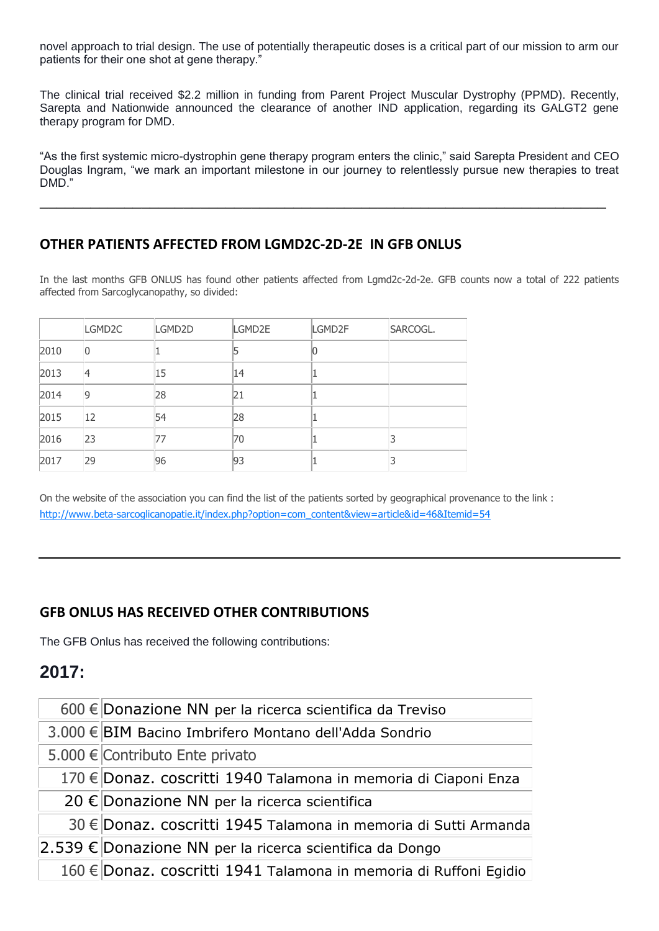novel approach to trial design. The use of potentially therapeutic doses is a critical part of our mission to arm our patients for their one shot at gene therapy."

The clinical trial received \$2.2 million in funding from Parent Project Muscular Dystrophy (PPMD). Recently, Sarepta and Nationwide announced the clearance of another IND application, regarding its GALGT2 gene therapy program for DMD.

"As the first systemic micro-dystrophin gene therapy program enters the clinic," said Sarepta President and CEO Douglas Ingram, "we mark an important milestone in our journey to relentlessly pursue new therapies to treat DMD."

**\_\_\_\_\_\_\_\_\_\_\_\_\_\_\_\_\_\_\_\_\_\_\_\_\_\_\_\_\_\_\_\_\_\_\_\_\_\_\_\_\_\_\_\_\_\_\_\_\_\_\_\_\_\_\_\_\_\_\_\_\_\_\_\_\_\_\_**

### **OTHER PATIENTS AFFECTED FROM LGMD2C-2D-2E IN GFB ONLUS**

In the last months GFB ONLUS has found other patients affected from Lgmd2c-2d-2e. GFB counts now a total of 222 patients affected from Sarcoglycanopathy, so divided:

|      | LGMD <sub>2C</sub> | LGMD2D | LGMD2E | LGMD2F | SARCOGL. |
|------|--------------------|--------|--------|--------|----------|
| 2010 | 0                  |        |        | 10     |          |
| 2013 | 4                  | 15     | 14     |        |          |
| 2014 | 9                  | 28     | 21     |        |          |
| 2015 | 12                 | 54     | 28     |        |          |
| 2016 | 23                 | 77     | 70     |        |          |
| 2017 | 29                 | 96     | 93     | L      |          |

On the website of the association you can find the list of the patients sorted by geographical provenance to the link : [http://www.beta-sarcoglicanopatie.it/index.php?option=com\\_content&view=article&id=46&Itemid=54](http://www.beta-sarcoglicanopatie.it/index.php?option=com_content&view=article&id=46&Itemid=54)

## **GFB ONLUS HAS RECEIVED OTHER CONTRIBUTIONS**

The GFB Onlus has received the following contributions:

# **2017:**

 $600 \in$  Donazione NN per la ricerca scientifica da Treviso

3.000 € BIM Bacino Imbrifero Montano dell'Adda Sondrio

5.000 € Contributo Ente privato

170 € Donaz. coscritti 1940 Talamona in memoria di Ciaponi Enza

20 € Donazione NN per la ricerca scientifica

30 € Donaz. coscritti 1945 Talamona in memoria di Sutti Armanda

2.539 € Donazione NN per la ricerca scientifica da Dongo

160 € Donaz. coscritti 1941 Talamona in memoria di Ruffoni Egidio